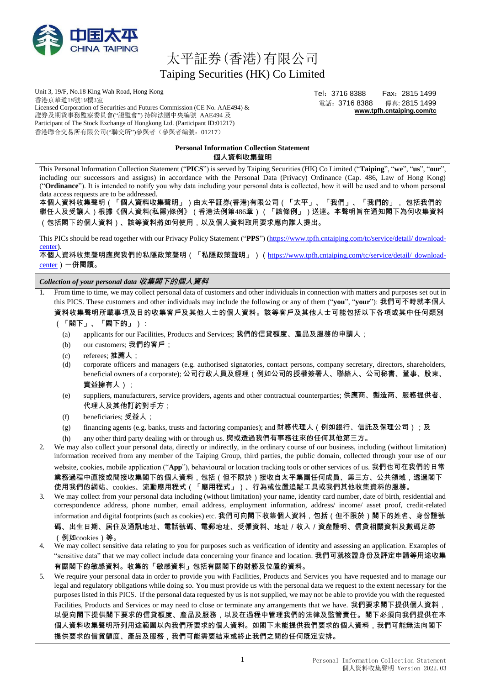

# 太平証券(香港)有限公司 Taiping Securities (HK) Co Limited

Unit 3, 19/F, No.18 King Wah Road, Hong Kong 香港京華道18號19樓3室 Licensed Corporation of Securities and Futures Commission (CE No. AAE494) & 證券及期貨事務監察委員會("證監會") 持牌法團中央編號 AAE494 及 Participant of The Stock Exchange of Hongkong Ltd. (Participant ID:01217) 香港聯合交易所有限公司("聯交所")參與者(參與者編號:01217)

Tel:3716 8388 Fax:2815 1499 電話:3716 8388 傳真: 2815 1499 **[www.tpfh.cntaiping.com/tc](http://www.tpfh.cntaiping.com/tc)**

| <b>Personal Information Collection Statement</b> |
|--------------------------------------------------|
| 個人資料收集聲明                                         |

This Personal Information Collection Statement ("**PICS**") is served by Taiping Securities (HK) Co Limited ("**Taiping**", "**we**", "**us**", "**our**", including our successors and assigns) in accordance with the Personal Data (Privacy) Ordinance (Cap. 486, Law of Hong Kong) ("**Ordinance**"). It is intended to notify you why data including your personal data is collected, how it will be used and to whom personal data access requests are to be addressed.

本個人資料收集聲明(「**個人資料收集聲明**」)由太平証券(香港)有限公司(「**太平**」、「**我們**」、「**我們的**」, 包括我們的 繼任人及受讓人)根據《個人資料(私隱)條例》(香港法例第486章)(「**該條例**」)送達。本聲明旨在通知閣下為何收集資料 (包括閣下的個人資料)、該等資料將如何使用,以及個人資料取用要求應向誰人提出。

This PICs should be read together with our Privacy Policy Statement ("**PPS**") [\(https://www.tpfh.cntaiping.com/tc/service/detail/](https://www.tpfh.cntaiping.com/tc/service/detail/%20download-center) download[center\)](https://www.tpfh.cntaiping.com/tc/service/detail/%20download-center).

本個人資料收集聲明應與我們的私隱政策聲明(「**私隱政策聲明**」)([https://www.tpfh.cntaiping.com/tc/service/detail/ download](https://www.tpfh.cntaiping.com/tc/service/detail/%20download-center)[center](https://www.tpfh.cntaiping.com/tc/service/detail/%20download-center))一併閱讀。

*Collection of your personal data* **收集閣下的個人資料**

1. From time to time, we may collect personal data of customers and other individuals in connection with matters and purposes set out in this PICS. These customers and other individuals may include the following or any of them ("**you**", "**your**"): 我們可不時就本個人

資料收集聲明所載事項及目的收集客戶及其他人士的個人資料。該等客戶及其他人士可能包括以下各項或其中任何類別 (「**閣下**」、「**閣下的**」):

- (a) applicants for our Facilities, Products and Services; 我們的信貸額度、產品及服務的申請人;
- (b) our customers; 我們的客戶;
- (c) referees; 推薦人;
- (d) corporate officers and managers (e.g. authorised signatories, contact persons, company secretary, directors, shareholders, beneficial owners of a corporate); 公司行政人員及經理(例如公司的授權簽署人、聯絡人、公司秘書、董事、股東、
	- 實益擁有人);
- (e) suppliers, manufacturers, service providers, agents and other contractual counterparties; 供應商、製造商、服務提供者、 代理人及其他訂約對手方;
- (f) beneficiaries; 受益人;
- (g) financing agents (e.g. banks, trusts and factoring companies); and 財務代理人(例如銀行、信託及保理公司);及
- (h) any other third party dealing with or through us. 與或透過我們有事務往來的任何其他第三方。

2. We may also collect your personal data, directly or indirectly, in the ordinary course of our business, including (without limitation) information received from any member of the Taiping Group, third parties, the public domain, collected through your use of our website, cookies, mobile application ("**App**"), behavioural or location tracking tools or other services of us. 我們也可在我們的日常 業務過程中直接或間接收集閣下的個人資料,包括(但不限於)接收自太平集團任何成員、第三方、公共領域,透過閣下 使用我們的網站、cookies、流動應用程式(「**應用程式**」)、行為或位置追蹤工具或我們其他收集資料的服務。

- 3. We may collect from your personal data including (without limitation) your name, identity card number, date of birth, residential and correspondence address, phone number, email address, employment information, address/ income/ asset proof, credit-related information and digital footprints (such as cookies) etc. 我們可向閣下收集個人資料,包括(但不限於)閣下的姓名、身份證號 碼、出生日期、居住及通訊地址、電話號碼、電郵地址、受僱資料、地址/收入/資產證明、信貸相關資料及數碼足跡 (例如cookies)等。
- 4. We may collect sensitive data relating to you for purposes such as verification of identity and assessing an application. Examples of "sensitive data" that we may collect include data concerning your finance and location. 我們可就核證身份及評定申請等用途收集 有關閣下的敏感資料。收集的「敏感資料」包括有關閣下的財務及位置的資料。
- 5. We require your personal data in order to provide you with Facilities, Products and Services you have requested and to manage our legal and regulatory obligations while doing so. You must provide us with the personal data we request to the extent necessary for the purposes listed in this PICS. If the personal data requested by us is not supplied, we may not be able to provide you with the requested Facilities, Products and Services or may need to close or terminate any arrangements that we have. 我們要求閣下提供個人資料, 以便向閣下提供閣下要求的信貸額度、產品及服務,以及在過程中管理我們的法律及監管責任。閣下必須向我們提供在本 個人資料收集聲明所列用途範圍以內我們所要求的個人資料。如閣下未能提供我們要求的個人資料,我們可能無法向閣下 提供要求的信貸額度、產品及服務,我們可能需要結束或終止我們之間的任何既定安排。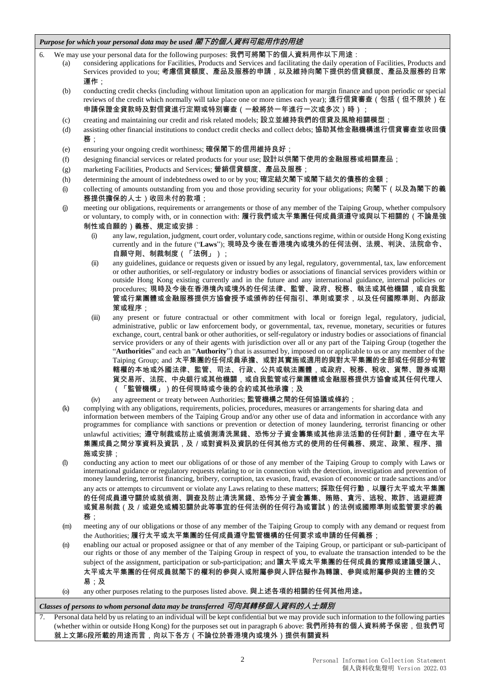## *Purpose for which your personal data may be used* **閣下的個人資料可能用作的用途**

<span id="page-1-0"></span>6. We may use your personal data for the following purposes: 我們可將閣下的個人資料用作以下用途:

- considering applications for Facilities, Products and Services and facilitating the daily operation of Facilities, Products and Services provided to you; 考慮信貸額度、產品及服務的申請,以及維持向閣下提供的信貸額度、產品及服務的日常 運作;
- (b) conducting credit checks (including without limitation upon an application for margin finance and upon periodic or special reviews of the credit which normally will take place one or more times each year); 進行信貸審查(包括(但不限於)在 申請保證金貸款時及對信貸進行定期或特別審查(一般將於一年進行一次或多次)時);
- (c) creating and maintaining our credit and risk related models; 設立並維持我們的信貸及風險相關模型;
- (d) assisting other financial institutions to conduct credit checks and collect debts; 協助其他金融機構進行信貸審查並收回債 務;
- (e) ensuring your ongoing credit worthiness; 確保閣下的信用維持良好;
- (f) designing financial services or related products for your use; 設計以供閣下使用的金融服務或相關產品;
- (g) marketing Facilities, Products and Services; 營銷信貸額度、產品及服務;
- (h) determining the amount of indebtedness owed to or by you; 確定結欠閣下或閣下結欠的債務的金額;
- (i) collecting of amounts outstanding from you and those providing security for your obligations; 向閣下(以及為閣下的義 務提供擔保的人士)收回未付的款項;
- <span id="page-1-1"></span>(j) meeting our obligations, requirements or arrangements or those of any member of the Taiping Group, whether compulsory or voluntary, to comply with, or in connection with: 履行我們或太平集團任何成員須遵守或與以下相關的(不論是強 制性或自願的)義務、規定或安排:
	- (i) any law, regulation, judgment, court order, voluntary code, sanctions regime, within or outside Hong Kong existing currently and in the future ("**Laws**"); 現時及今後在香港境內或境外的任何法例、法規、判決、法院命令、 自願守則、制裁制度(「**法例**」);
	- (ii) any guidelines, guidance or requests given or issued by any legal, regulatory, governmental, tax, law enforcement or other authorities, or self-regulatory or industry bodies or associations of financial services providers within or outside Hong Kong existing currently and in the future and any international guidance, internal policies or procedures; 現時及今後在香港境內或境外的任何法律、監管、政府、稅務、執法或其他機關,或自我監 管或行業團體或金融服務提供方協會授予或頒佈的任何指引、準則或要求,以及任何國際準則、內部政 策或程序;
	- (iii) any present or future contractual or other commitment with local or foreign legal, regulatory, judicial, administrative, public or law enforcement body, or governmental, tax, revenue, monetary, securities or futures exchange, court, central bank or other authorities, or self-regulatory or industry bodies or associations of financial service providers or any of their agents with jurisdiction over all or any part of the Taiping Group (together the "**Authorities**" and each an "**Authority**") that is assumed by, imposed on or applicable to us or any member of the Taiping Group; and 太平集團的任何成員承擔、或對其實施或適用的與對太平集團的全部或任何部分有管 轄權的本地或外國法律、監管、司法、行政、公共或執法團體,或政府、稅務、稅收、貨幣、證券或期 貨交易所、法院、中央銀行或其他機關,或自我監管或行業團體或金融服務提供方協會或其任何代理人 (「**監管機構**」)的任何現時或今後的合約或其他承擔;及
	- any agreement or treaty between Authorities; 監管機構之間的任何協議或條約;
- <span id="page-1-2"></span>(k) complying with any obligations, requirements, policies, procedures, measures or arrangements for sharing data and information between members of the Taiping Group and/or any other use of data and information in accordance with any programmes for compliance with sanctions or prevention or detection of money laundering, terrorist financing or other unlawful activities; 遵守制裁或防止或偵測清洗黑錢、恐怖分子資金籌集或其他非法活動的任何計劃,遵守在太平 集團成員之間分享資料及資訊,及/或對資料及資訊的任何其他方式的使用的任何義務、規定、政策、程序、措 施或安排;
- <span id="page-1-3"></span>(l) conducting any action to meet our obligations of or those of any member of the Taiping Group to comply with Laws or international guidance or regulatory requests relating to or in connection with the detection, investigation and prevention of money laundering, terrorist financing, bribery, corruption, tax evasion, fraud, evasion of economic or trade sanctions and/or any acts or attempts to circumvent or violate any Laws relating to these matters; 採取任何行動,以履行太平或太平集團 的任何成員遵守關於或就偵測、調查及防止清洗黑錢、恐怖分子資金籌集、賄賂、貪污、逃稅、欺詐、逃避經濟 或貿易制裁(及/或避免或觸犯關於此等事宜的任何法例的任何行為或嘗試)的法例或國際準則或監管要求的義 務;
- (m) meeting any of our obligations or those of any member of the Taiping Group to comply with any demand or request from the Authorities; 履行太平或太平集團的任何成員遵守監管機構的任何要求或申請的任何義務;
- (n) enabling our actual or proposed assignee or that of any member of the Taiping Group, or participant or sub-participant of our rights or those of any member of the Taiping Group in respect of you, to evaluate the transaction intended to be the subject of the assignment, participation or sub-participation; and 讓太平或太平集團的任何成員的實際或建議受讓人、 太平或太平集團的任何成員就閣下的權利的參與人或附屬參與人評估擬作為轉讓、參與或附屬參與的主體的交 易;及
- (o) any other purposes relating to the purposes listed above. 與上述各項的相關的任何其他用途。

### *Classes of persons to whom personal data may be transferred* **可向其轉移個人資料的人士類別**

Personal data held by us relating to an individual will be kept confidential but we may provide such information to the following parties (whether within or outside Hong Kong) for the purposes set out in paragraph [6](#page-1-0) above: 我們所持有的個人資料將予保密,但我們可 就上文第[6](#page-1-0)段所載的用途而言,向以下各方(不論位於香港境內或境外)提供有關資料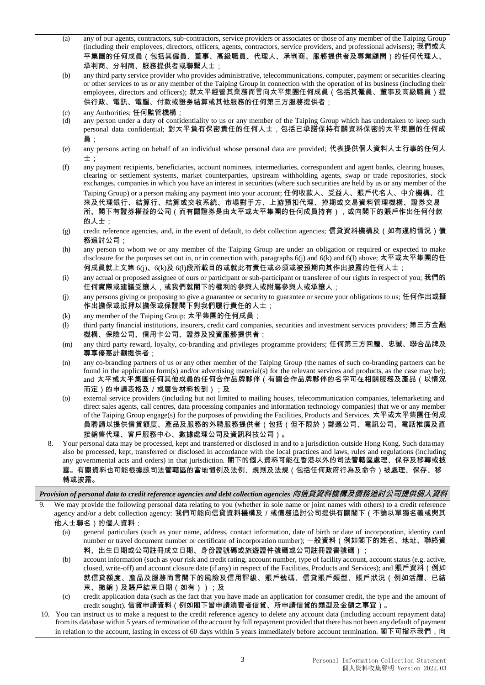- (a) any of our agents, contractors, sub-contractors, service providers or associates or those of any member of the Taiping Group (including their employees, directors, officers, agents, contractors, service providers, and professional advisers); 我們或太 平集團的任何成員(包括其僱員、董事、高級職員、代理人、承判商、服務提供者及專業顧問)的任何代理人、 承判商、分判商、服務提供者或聯繫人士;
- (b) any third party service provider who provides administrative, telecommunications, computer, payment or securities clearing or other services to us or any member of the Taiping Group in connection with the operation of its business (including their employees, directors and officers); 就太平經營其業務而言向太平集團任何成員 ( 包括其僱員、董事及高級職員 ) 提 供行政、電訊、電腦、付款或證券結算或其他服務的任何第三方服務提供者;

- any person under a duty of confidentiality to us or any member of the Taiping Group which has undertaken to keep such personal data confidential; 對太平負有保密責任的任何人士,包括已承諾保持有關資料保密的太平集團的任何成 員;
- (e) any persons acting on behalf of an individual whose personal data are provided; 代表提供個人資料人士行事的任何人 士;
- (f) any payment recipients, beneficiaries, account nominees, intermediaries, correspondent and agent banks, clearing houses, clearing or settlement systems, market counterparties, upstream withholding agents, swap or trade repositories, stock exchanges, companies in which you have an interest in securities (where such securities are held by us or any member of the Taiping Group) or a person making any payment into your account; 任何收款人、受益人、賬戶代名人、中介機構、往 來及代理銀行、結算行、結算或交收系統、市場對手方、上游預扣代理、掉期或交易資料管理機構、證券交易 所、閣下有證券權益的公司(而有關證券是由太平或太平集團的任何成員持有),或向閣下的賬戶作出任何付款 的人士;
- (g) credit reference agencies, and, in the event of default, to debt collection agencies; 信貸資料機構及(如有違約情況)債 務追討公司;
- (h) any person to whom we or any member of the Taiping Group are under an obligation or required or expected to make disclosure for the purposes set out in, or in connection with, paragraphs [6\(j\)](#page-1-1) and [6\(k\) a](#page-1-2)nd [6\(l\)](#page-1-3) above; 太平或太平集團的任 何成員就上文第 6(j)、6(k)及 6(l)段所載目的或就此有責任或必須或被預期向其作出披露的任何人士;
- (i) any actual or proposed assignee of ours or participant or sub-participant or transferee of our rights in respect of you; 我們的 任何實際或建議受讓人,或我們就閣下的權利的參與人或附屬參與人或承讓人;
- (j) any persons giving or proposing to give a guarantee or security to guarantee or secure your obligations to us; 任何作出或擬 作出擔保或抵押以擔保或保證閣下對我們履行責任的人士;
- (k) any member of the Taiping Group; 太平集團的任何成員;
- (l) third party financial institutions, insurers, credit card companies, securities and investment services providers; 第三方金融 機構、保險公司、信用卡公司、證券及投資服務提供者;
- (m) any third party reward, loyalty, co-branding and privileges programme providers; 任何第三方回贈、忠誠、聯合品牌及 專享優惠計劃提供者;
- (n) any co-branding partners of us or any other member of the Taiping Group (the names of such co-branding partners can be found in the application form(s) and/or advertising material(s) for the relevant services and products, as the case may be); and 太平或太平集團任何其他成員的任何合作品牌夥伴(有關合作品牌夥伴的名字可在相關服務及產品(以情況 而定)的申請表格及/或廣告材料找到);及
- (o) external service providers (including but not limited to mailing houses, telecommunication companies, telemarketing and direct sales agents, call centres, data processing companies and information technology companies) that we or any member of the Taiping Group engage(s) for the purposes of providing the Facilities, Products and Services. 太平或太平集團任何成 員聘請以提供信貸額度、產品及服務的外聘服務提供者(包括(但不限於)郵遞公司、電訊公司、電話推廣及直 接銷售代理、客戶服務中心、數據處理公司及資訊科技公司)。
- 8. Your personal data may be processed, kept and transferred or disclosed in and to a jurisdiction outside Hong Kong. Such datamay also be processed, kept, transferred or disclosed in accordance with the local practices and laws, rules and regulations (including any governmental acts and orders) in that jurisdiction. 閣下的個人資料可能在香港以外的司法管轄區處理、保存及移轉或披 露。有關資料也可能根據該司法管轄區的當地慣例及法例、規則及法規(包括任何政府行為及命令)被處理、保存、移 轉或披露。

*Provision of personal data to credit reference agencies and debt collection agencies* **向信貸資料機構及債務追討公司提供個人資料**

- We may provide the following personal data relating to you (whether in sole name or joint names with others) to a credit reference agency and/or a debt collection agency: 我們可能向信貸資料機構及 / 或債務追討公司提供有關閣下 ( 不論以單獨名義或與其 他人士聯名)的個人資料:
	- (a) general particulars (such as your name, address, contact information, date of birth or date of incorporation, identity card number or travel document number or certificate of incorporation number); 一般資料(例如閣下的姓名、地址、聯絡資 料、出生日期或公司註冊成立日期、身份證號碼或旅遊證件號碼或公司註冊證書號碼);
	- (b) account information (such as your risk and credit rating, account number, type of facility account, account status (e.g. active, closed, write-off) and account closure date (if any) in respect of the Facilities, Products and Services); and 賬戶資料 (例如 就信貸額度、產品及服務而言閣下的風險及信用評級、賬戶號碼、信貸賬戶類型、賬戶狀況(例如活躍、已結 束、撇銷)及賬戶結束日期(如有));及
	- (c) credit application data (such as the fact that you have made an application for consumer credit, the type and the amount of credit sought). 信貸申請資料(例如閣下曾申請溑費者信貸、所申請信貸的類型及金額之事宜)。
- <span id="page-2-0"></span>10. You can instruct us to make a request to the credit reference agency to delete any account data (including account repayment data) from its database within 5 years of termination of the account by full repayment provided that there has not been any default of payment in relation to the account, lasting in excess of 60 days within 5 years immediately before account termination. 閣下可指示我們,向

<sup>(</sup>c) any Authorities; 任何監管機構;<br>(d) any person under a duty of confi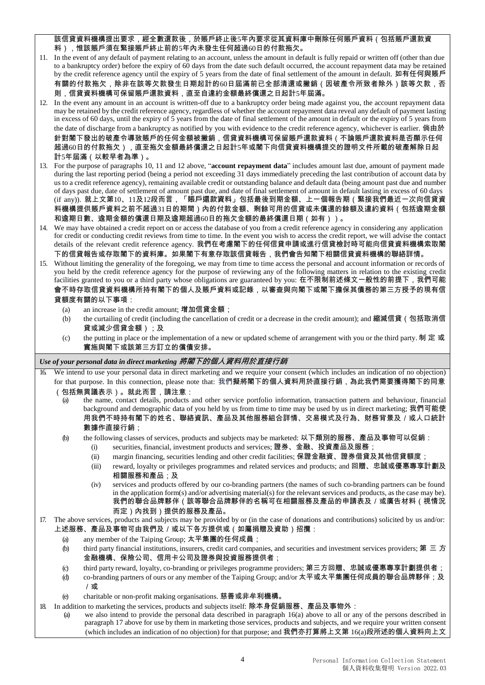該信貸資料機構提出要求,經全數還款後,於賬戶終止後5年內要求從其資料庫中刪除任何賬戶資料(包括賬戶還款資

料),惟該賬戶須在緊接賬戶終止前的5年內未發生任何超過60日的付款拖欠。

- 11. In the event of any default of payment relating to an account, unless the amount in default is fully repaid or written off (other than due to a bankruptcy order) before the expiry of 60 days from the date such default occurred, the account repayment data may be retained by the credit reference agency until the expiry of 5 years from the date of final settlement of the amount in default. 如有任何與賬戶 有關的付款拖欠,除非在該等欠款發生日期起計的60日屆滿前已全部清還或撇銷(因破產令所致者除外)該等欠款,否 則,信貸資料機構可保留賬戶還款資料,直至自違約金額最終償還之日起計5年屆滿。
- <span id="page-3-0"></span>12. In the event any amount in an account is written-off due to a bankruptcy order being made against you, the account repayment data may be retained by the credit reference agency, regardless of whether the account repayment data reveal any default of payment lasting in excess of 60 days, until the expiry of 5 years from the date of final settlement of the amount in default or the expiry of 5 years from the date of discharge from a bankruptcy as notified by you with evidence to the credit reference agency, whichever is earlier. 倘由於 針對閣下發出的破產令導致賬戶的任何金額被撇銷,信貸資料機構可保留賬戶還款資料(不論賬戶還款資料是否顯示任何 超過60日的付款拖欠),直至拖欠金額最終償還之日起計5年或閣下向信貸資料機構提交的證明文件所載的破產解除日起 計5年屆滿(以較早者為準)。
- 13. For the purpose of paragraphs [10,](#page-2-0) [11](#page-2-0) and [12](#page-3-0) above, "**account repayment data**" includes amount last due, amount of payment made during the last reporting period (being a period not exceeding 31 days immediately preceding the last contribution of account data by us to a credit reference agency), remaining available credit or outstanding balance and default data (being amount past due and number of days past due, date of settlement of amount past due, and date of final settlement of amount in default lasting in excess of 60 days (if any)). 就上文第10、11及12段而言,「**賬戶還款資料**」包括最後到期金額、上一個報告期(緊接我們最近一次向信貸資 料機構提供賬戶資料之前不超過31日的期間)內的付款金額、剩餘可用的信貸或未償還的餘額及違約資料(包括逾期金額 和逾期日數、逾期金額的償還日期及逾期超過60日的拖欠金額的最終償還日期(如有))。
- 14. We may have obtained a credit report on or access the database of you from a credit reference agency in considering any application for credit or conducting credit reviews from time to time. In the event you wish to access the credit report, we will advise the contact details of the relevant credit reference agency. 我們在考慮閣下的任何信貸申請或進行信貸檢討時可能向信貸資料機構索取閣 下的信貸報告或存取閣下的資料庫。如果閣下有意存取該信貸報告,我們會告知閣下相關信貸資料機構的聯絡詳情。
- 15. Without limiting the generality of the foregoing, we may from time to time access the personal and account information or records of you held by the credit reference agency for the purpose of reviewing any of the following matters in relation to the existing credit facilities granted to you or a third party whose obligations are guaranteed by you: 在不限制前述條文一般性的前提下,我們可能 會不時存取信貸資料機構所持有閣下的個人及賬戶資料或記錄,以審查與向閣下或閣下擔保其債務的第三方授予的現有信 貸額度有關的以下事項:
	- (a) an increase in the credit amount; 增加信貸金額;
	- (b) the curtailing of credit (including the cancellation of credit or a decrease in the credit amount); and 縮減信貸(包括取消信 貸或減少信貸金額);及
	- (c) the putting in place or the implementation of a new or updated scheme of arrangement with you or the third party. 制 定 或 實施與閣下或該第三方訂立的償債安排。

## *Use of your personal data in direct marketing* **將閣下的個人資料用於直接行銷**

- <span id="page-3-1"></span>We intend to use your personal data in direct marketing and we require your consent (which includes an indication of no objection) for that purpose. In this connection, please note that: 我們擬將閣下的個人資料用於直接行銷,為此我們需要獲得閣下的同意 (包括無異議表示)。就此而言,請注意:
	- the name, contact details, products and other service portfolio information, transaction pattern and behaviour, financial background and demographic data of you held by us from time to time may be used by us in direct marketing; 我們可能使 用我們不時持有閣下的姓名、聯絡資訊、產品及其他服務組合詳情、交易模式及行為、財務背景及/或人口統計 數據作直接行銷;
	- (b) the following classes of services, products and subjects may be marketed: 以下類別的服務、產品及事物可以促銷:
		- (i) securities, financial, investment products and services; 證券、金融、投資產品及服務;
		- (ii) margin financing, securities lending and other credit facilities; 保證金融資、證券借貸及其他信貸額度;
		- (iii) reward, loyalty or privileges programmes and related services and products; and 回贈、忠誠或優惠專享計劃及 相關服務和產品;及
		- (iv) services and products offered by our co-branding partners (the names of such co-branding partners can be found in the application form(s) and/or advertising material(s) for the relevant services and products, as the case may be). 我們的聯合品牌夥伴(該等聯合品牌夥伴的名稱可在相關服務及產品的申請表及/或廣告材料(視情況 而定)內找到)提供的服務及產品。
- <span id="page-3-2"></span>17. The above services, products and subjects may be provided by or (in the case of donations and contributions) solicited by us and/or: 上述服務、產品及事物可由我們及/或以下各方提供或(如屬捐贈及資助)招攬:
	- (a) any member of the Taiping Group; 太平集團的任何成員;
	- (b) third party financial institutions, insurers, credit card companies, and securities and investment services providers; 第 三 方 金融機構、保險公司、信用卡公司及證券與投資服務提供者;
	- (c) third party reward, loyalty, co-branding or privileges programme providers; 第三方回贈、忠誠或優惠專享計劃提供者;
	- (d) co-branding partners of ours or any member of the Taiping Group; and/or 太平或太平集團任何成員的聯合品牌夥伴;及 /或
	- (e) charitable or non-profit making organisations. 慈善或非牟利機構。
- <span id="page-3-3"></span>18. In addition to marketing the services, products and subjects itself: 除本身促銷服務、產品及事物外:
	- (a) we also intend to provide the personal data described in paragraph [16\(a\)](#page-3-1) above to all or any of the persons described in paragraph [17](#page-3-2) above for use by them in marketing those services, products and subjects, and we require your written consent (which includes an indication of no objection) for that purpose; and 我們亦打算將上文第 16(a)段所述的個人資料向上文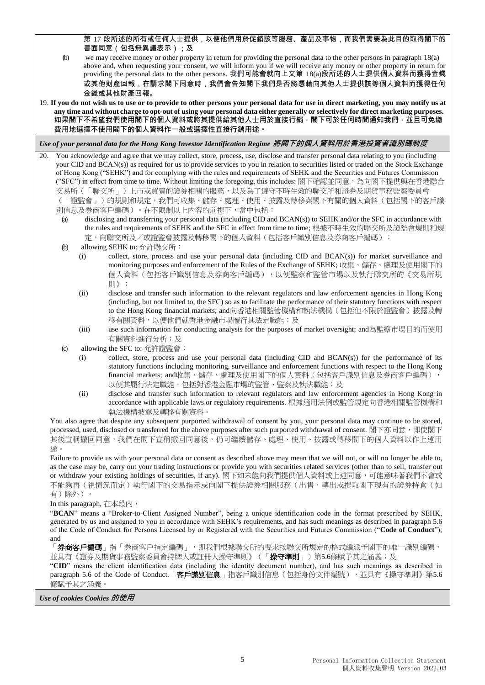第 17 段所述的所有或任何人士提供,以便他們用於促銷該等服務、產品及事物,而我們需要為此目的取得閣下的 書面同意(包括無異議表示);及

- (b) we may receive money or other property in return for providing the personal data to the other persons in paragraph [18\(a\)](#page-3-3) above and, when requesting your consent, we will inform you if we will receive any money or other property in return for providing the personal data to the other persons. 我們可能會就向上文第 18(a)段所述的人士提供個人資料而獲得金錢 或其他財產回報,在請求閣下同意時,我們會告知閣下我們是否將憑藉向其他人士提供該等個人資料而獲得任何 金錢或其他財產回報。
- 19. **If you do not wish us to use or to provide to other persons your personal data for use in direct marketing, you may notify us at**  any time and without charge to opt-out of using your personal data either generally or selectively for direct marketing purposes. 如果閣下不希望我們使用閣下的個人資料或將其提供給其他人士用於直接行銷<sup>,</sup>閣下可於任何時間通知我們,並且可免繳 **費用地選擇不使用閣下的個人資料作一般或選擇性直接行銷用途。**

*Use of your personal data for the Hong Kong Investor Identification Regime* **將閣下的個人資料用於香港投資者識別碼制度**

20. You acknowledge and agree that we may collect, store, process, use, disclose and transfer personal data relating to you (including your CID and BCAN(s)) as required for us to provide services to you in relation to securities listed or traded on the Stock Exchange of Hong Kong ("SEHK") and for complying with the rules and requirements of SEHK and the Securities and Futures Commission ("SFC") in effect from time to time. Without limiting the foregoing, this includes: 閣下確認並同意,為向閣下提供與在香港聯合 交易所(「聯交所」)上市或買賣的證券相關的服務,以及為了遵守不時生效的聯交所和證券及期貨事務監察委員會 (「證監會」)的規則和規定,我們可收集、儲存、處理、使用、披露及轉移與閣下有關的個人資料(包括閣下的客戶識 別信息及券商客戶編碼)。在不限制以上內容的前提下,當中包括:

- (a) disclosing and transferring your personal data (including CID and BCAN(s)) to SEHK and/or the SFC in accordance with the rules and requirements of SEHK and the SFC in effect from time to time; 根據不時生效的聯交所及證監會規則和規 定,向聯交所及/或證監會披露及轉移閣下的個人資料(包括客戶識別信息及券商客戶編碼);
- (b) allowing SEHK to: 允許聯交所:
	- (i) collect, store, process and use your personal data (including CID and BCAN(s)) for market surveillance and monitoring purposes and enforcement of the Rules of the Exchange of SEHK; 收集、儲存、處理及使用閣下的 個人資料(包括客戶識別信息及券商客戶編碼),以便監察和監管市場以及執行聯交所的《交易所規 則》;
	- (ii) disclose and transfer such information to the relevant regulators and law enforcement agencies in Hong Kong (including, but not limited to, the SFC) so as to facilitate the performance of their statutory functions with respect to the Hong Kong financial markets; and向香港相關監管機構和執法機構(包括但不限於證監會)披露及轉 移有關資料,以便他們就香港金融市場履行其法定職能;及
	- (iii) use such information for conducting analysis for the purposes of market oversight; and為監察市場目的而使用 有關資料進行分析;及
- (c) allowing the SFC to: 允許證監會:
	- (i) collect, store, process and use your personal data (including CID and BCAN(s)) for the performance of its statutory functions including monitoring, surveillance and enforcement functions with respect to the Hong Kong financial markets; and收集、儲存、處理及使用閣下的個人資料(包括客戶識別信息及券商客戶編碼), 以便其履行法定職能,包括對香港金融市場的監管、監察及執法職能;及
	- (ii) disclose and transfer such information to relevant regulators and law enforcement agencies in Hong Kong in accordance with applicable laws or regulatory requirements. 根據適用法例或監管規定向香港相關監管機構和 執法機構披露及轉移有關資料。

You also agree that despite any subsequent purported withdrawal of consent by you, your personal data may continue to be stored, processed, used, disclosed or transferred for the above purposes after such purported withdrawal of consent. 閣下亦同意, 即使閣下 其後宣稱撤回同意,我們在閣下宣稱撤回同意後,仍可繼續儲存、處理、使用、披露或轉移閣下的個人資料以作上述用 途。

Failure to provide us with your personal data or consent as described above may mean that we will not, or will no longer be able to, as the case may be, carry out your trading instructions or provide you with securities related services (other than to sell, transfer out or withdraw your existing holdings of securities, if any). 閣下如未能向我們提供個人資料或上述同意,可能意味著我們不會或 不能夠再(視情況而定)執行閣下的交易指示或向閣下提供證券相關服務(出售、轉出或提取閣下現有的證券持倉(如 有)除外)。

In this paragraph, 在本段內,

"**BCAN**" means a "Broker-to-Client Assigned Number", being a unique identification code in the format prescribed by SEHK, generated by us and assigned to you in accordance with SEHK's requirements, and has such meanings as described in paragraph 5.6 of the Code of Conduct for Persons Licensed by or Registered with the Securities and Futures Commission ("**Code of Conduct**"); and

「券商客戶編碼」指「券商客戶指定編碼」,即我們根據聯交所的要求按聯交所規定的格式編派予閣下的唯一識別編碼, 並具有《證券及期貨事務監察委員會持牌人或註冊人操守準則》(「**操守準則**」)第5.6條賦予其之涵義;及

"**CID**" means the client identification data (including the identity document number), and has such meanings as described in paragraph 5.6 of the Code of Conduct.「客戶識別信息」指客戶識別信息(包括身份文件編號),並具有《操守準則》第5.6 條賦予其之涵義。

*Use of cookies Cookies* **的使用**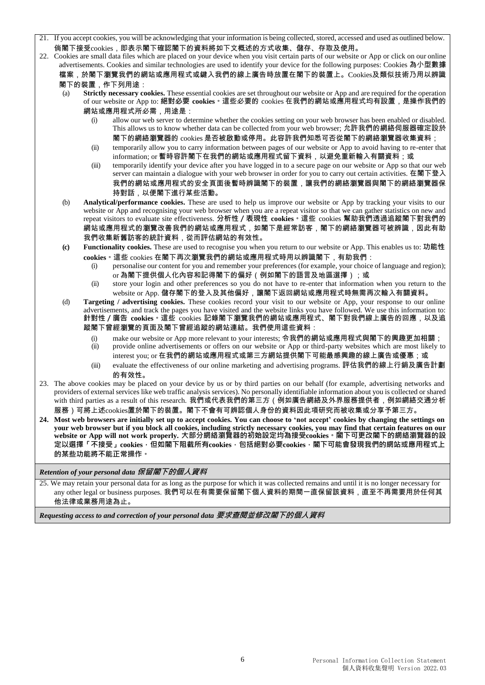- 21. If you accept cookies, you will be acknowledging that your information is being collected,stored, accessed and used as outlined below. 倘閣下接受cookies,即表示閣下確認閣下的資料將如下文概述的方式收集、儲存、存取及使用。
- 22. Cookies are small data files which are placed on your device when you visit certain parts of our website or App or click on our online advertisements. Cookies and similar technologies are used to identify your device for the following purposes: Cookies 為小型數據 檔案,於閣下瀏覽我們的網站或應用程式或鍵入我們的線上廣告時放置在閣下的裝置上。Cookies及類似技術乃用以辨識 閣下的裝置,作下列用途:
	- Strictly necessary cookies. These essential cookies are set throughout our website or App and are required for the operation of our website or App to: **絕對必要 cookies。**這些必要的 cookies 在我們的網站或應用程式均有設置,是操作我們的 網站或應用程式所必需,用途是:
		- (i) allow our web server to determine whether the cookies setting on your web browser has been enabled or disabled. This allows us to know whether data can be collected from your web browser; 允許我們的網絡伺服器確定設於 閣下的網絡瀏覽器的 cookies 是否被啟動或停用。此容許我們知悉可否從閣下的網絡瀏覽器收集資料;
		- (ii) temporarily allow you to carry information between pages of our website or App to avoid having to re-enter that information; or 暫時容許閣下在我們的網站或應用程式留下資料, 以避免重新輸入有關資料; 或
		- (iii) temporarily identify your device after you have logged in to a secure page on our website or App so that our web server can maintain a dialogue with your web browser in order for you to carry out certain activities. 在閣下登入 我們的網站或應用程式的安全頁面後暫時辨識閣下的裝置,讓我們的網絡瀏覽器與閣下的網絡瀏覽器保 持對話,以便閣下進行某些活動。
	- (b) **Analytical/performance cookies.** These are used to help us improve our website or App by tracking your visits to our website or App and recognising your web browser when you are a repeat visitor so that we can gather statistics on new and repeat visitors to evaluate site effectiveness. **分析性/表現性 cookies。**這些 cookies 幫助我們透過追蹤閣下對我們的 網站或應用程式的瀏覽改善我們的網站或應用程式,如閣下是經常訪客,閣下的網絡瀏覽器可被辨識,因此有助 我們收集新舊訪客的統計資料,從而評估網站的有效性。
	- **(c) Functionality cookies.** These are used to recognise you when you return to our website or App. This enables us to: **功能性 cookies。**這些 cookies 在閣下再次瀏覽我們的網站或應用程式時用以辨識閣下,有助我們:
		- (i) personalise our content for you and remember your preferences (for example, your choice of language and region); or 為閣下提供個人化內容和記得閣下的偏好(例如閣下的語言及地區選擇);或
		- (ii) store your login and other preferences so you do not have to re-enter that information when you return to the website or App. 儲存閣下的登入及其他偏好,讓閣下返回網站或應用程式時無需再次輸入有關資料。
	- (d) **Targeting / advertising cookies.** These cookies record your visit to our website or App, your response to our online advertisements, and track the pages you have visited and the website links you have followed. We use this information to: **針對性/廣告 cookies。**這些 cookies 記錄閣下瀏覽我們的網站或應用程式、閣下對我們線上廣告的回應,以及追 蹤閣下曾經瀏覽的頁面及閣下曾經追蹤的網站連結。我們使用這些資料:
		- (i) make our website or App more relevant to your interests; 令我們的網站或應用程式與閣下的興趣更加相關;
		- (ii) provide online advertisements or offers on our website or App or third-party websites which are most likely to interest you; or 在我們的網站或應用程式或第三方網站提供閣下可能最感興趣的線上廣告或優惠;或
		- (iii) evaluate the effectiveness of our online marketing and advertising programs. 評估我們的線上行銷及廣告計劃 的有效性。
- 23. The above cookies may be placed on your device by us or by third parties on our behalf (for example, advertising networks and providers of external services like web traffic analysis services). No personally identifiable information about you is collected or shared with third parties as a result of this research. 我們或代表我們的第三方(例如廣告網絡及外界服務提供者,例如網絡交通分析 服務)可將上述cookies置於閣下的裝置。閣下不會有可辨認個人身份的資料因此項研究而被收集或分享予第三方。
- 24. Most web browsers are initially set up to accept cookies. You can choose to 'not accept' cookies by changing the settings on **your web browser but if you block all cookies, including strictly necessary cookies, you may find that certain features on our website or App will not work properly. 大部分網絡瀏覽器的初始設定均為接受cookies。閣下可更改閣下的網絡瀏覽器的設 定以選擇「不接受」cookies,但如閣下阻截所有cookies,包括絕對必要cookies,閣下可能會發現我們的網站或應用程式上 的某些功能將不能正常操作。**

*Retention of your personal data* **保留閣下的個人資料**

25. We may retain your personal data for as long as the purpose for which it was collected remains and until it is no longer necessary for any other legal or business purposes. 我們可以在有需要保留閣下個人資料的期間一直保留該資料,直至不再需要用於任何其 他法律或業務用途為止。

*Requesting access to and correction of your personal data* **要求查閱並修改閣下的個人資料**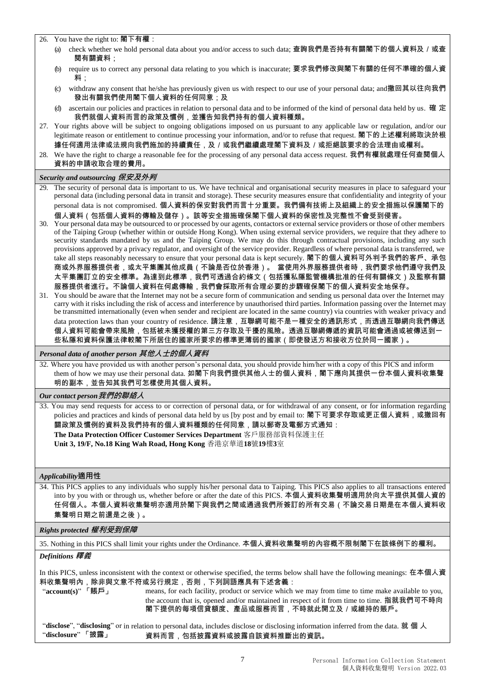26. You have the right to: 閣下有權:

- (a) check whether we hold personal data about you and/or access to such data; 查詢我們是否持有有關閣下的個人資料及 / 或查 閱有關資料;
- (b) require us to correct any personal data relating to you which is inaccurate; 要求我們修改與閣下有關的任何不準確的個人資 料:
- (c) withdraw any consent that he/she has previously given us with respect to our use of your personal data; and撤回其以往向我們 發出有關我們使用閣下個人資料的任何同意;及
- (d) ascertain our policies and practices in relation to personal data and to be informed of the kind of personal data held by us. 確 定 我們就個人資料而言的政策及慣例,並獲告知我們持有的個人資料種類。
- 27. Your rights above will be subject to ongoing obligations imposed on us pursuant to any applicable law or regulation, and/or our legitimate reason or entitlement to continue processing your information, and/or to refuse that request. 閣下的上述權利將取決於根 據任何適用法律或法規向我們施加的持續責任,及/或我們繼續處理閣下資料及/或拒絕該要求的合法理由或權利。
- 28. We have the right to charge a reasonable fee for the processing of any personal data access request. 我們有權就處理任何查閱個人 資料的申請收取合理的費用。

## *Security and outsourcing* **保安及外判**

29. The security of personal data is important to us. We have technical and organisational security measures in place to safeguard your personal data (including personal data in transit and storage). These security measures ensure that confidentiality and integrity of your personal data is not compromised. 個人資料的保安對我們而言十分重要。我們備有技術上及組織上的安全措施以保護閣下的 個人資料(包括個人資料的傳輸及儲存)。該等安全措施確保閣下個人資料的保密性及完整性不會受到侵害。

- 30. Your personal data may be outsourced to or processed by our agents, contactors or external service providers or those of other members of the Taiping Group (whether within or outside Hong Kong). When using external service providers, we require that they adhere to security standards mandated by us and the Taiping Group. We may do this through contractual provisions, including any such provisions approved by a privacy regulator, and oversight of the service provider. Regardless of where personal data is transferred, we take all steps reasonably necessary to ensure that your personal data is kept securely. 閣下的個人資料可外判予我們的客戶、承包 商或外界服務提供者,或太平集團其他成員(不論是否位於香港)。 當使用外界服務提供者時,我們要求他們遵守我們及 太平集團訂立的安全標準。為達到此標準,我們可透過合約條文(包括獲私隱監管機構批准的任何有關條文)及監察有關 服務提供者進行。不論個人資料在何處傳輸,我們會採取所有合理必要的步驟確保閣下的個人資料安全地保存。
- 31. You should be aware that the Internet may not be a secure form of communication and sending us personal data over the Internet may carry with it risks including the risk of access and interference by unauthorised third parties. Information passing over the Internet may be transmitted internationally (even when sender and recipient are located in the same country) via countries with weaker privacy and data protection laws than your country of residence. 請注意,互聯網可能不是一種安全的通訊形式,而透過互聯網向我們傳送 個人資料可能會帶來風險,包括被未獲授權的第三方存取及干擾的風險。透過互聯網傳遞的資訊可能會通過或被傳送到一 些私隱和資料保護法律較閣下所居住的國家所要求的標準更薄弱的國家(即使發送方和接收方位於同一國家)。

*Personal data of another person* **其他人士的個人資料**

32*.* Where you have provided us with another person's personal data, you should provide him/her with a copy of this PICS and inform them of how we may use their personal data. 如閣下向我們提供其他人士的個人資料,閣下應向其提供一份本個人資料收集聲 明的副本,並告知其我們可怎樣使用其個人資料。

*Our contact person***我們的聯絡人**

33. You may send requests for access to or correction of personal data, or for withdrawal of any consent, or for information regarding policies and practices and kinds of personal data held by us [by post and by email to: 閣下可要求存取或更正個人資料,或撤回有 關政策及慣例的資料及我們持有的個人資料種類的任何同意,請以郵寄及電郵方式通知:

**The Data Protection Officer Customer Services Department** 客戶服務部資料保護主任

**Unit 3, 19/F, No.18 King Wah Road, Hong Kong** 香港京華道**18**號**19**樓**3**室

### *Applicability***適用性**

34. This PICS applies to any individuals who supply his/her personal data to Taiping. This PICS also applies to all transactions entered into by you with or through us, whether before or after the date of this PICS. 本個人資料收集聲明適用於向太平提供其個人資的 任何個人。本個人資料收集聲明亦適用於閣下與我們之間或通過我們所簽訂的所有交易(不論交易日期是在本個人資料收 集聲明日期之前還是之後)。

*Rights protected* **權利受到保障**

35. Nothing in this PICS shall limit your rights under the Ordinance. 本個人資料收集聲明的內容概不限制閣下在該條例下的權利。

### *Definitions* **釋義**

In this PICS, unless inconsistent with the context or otherwise specified, the terms below shall have the following meanings: 在本個人資 料收集聲明內,除非與文意不符或另行規定,否則,下列詞語應具有下述含義:

"**account(s)**" 「**賬戶**」 means, for each facility, product or service which we may from time to time make available to you, the account that is, opened and/or maintained in respect of it from time to time. 指就我們可不時向 閣下提供的每項信貸額度、產品或服務而言,不時就此開立及/或維持的賬戶。

"**disclose**", "**disclosing**" or in relation to personal data, includes disclose or disclosing information inferred from the data. 就 個 人 "**disclosure**" 「**披露**」 資料而言,包括披露資料或披露自該資料推斷出的資訊。